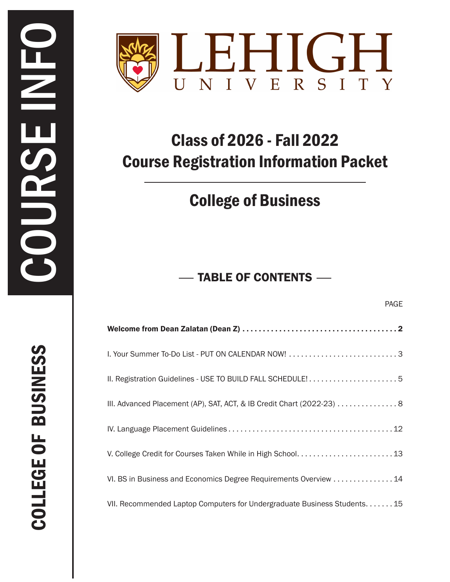

# Class of 2026 - Fall 2022 Course Registration Information Packet

## College of Business

## TABLE OF CONTENTS

| I. Your Summer To-Do List - PUT ON CALENDAR NOW! 3                      |
|-------------------------------------------------------------------------|
|                                                                         |
| III. Advanced Placement (AP), SAT, ACT, & IB Credit Chart (2022-23) 8   |
|                                                                         |
|                                                                         |
| VI. BS in Business and Economics Degree Requirements Overview 14        |
| VII. Recommended Laptop Computers for Undergraduate Business Students15 |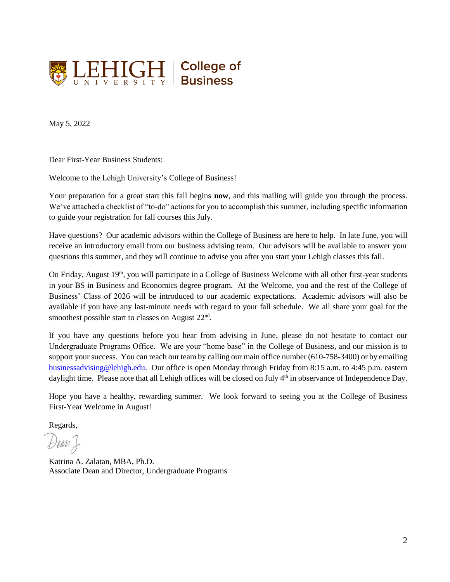

May 5, 2022

Dear First-Year Business Students:

Welcome to the Lehigh University's College of Business!

Your preparation for a great start this fall begins **now**, and this mailing will guide you through the process. We've attached a checklist of "to-do" actions for you to accomplish this summer, including specific information to guide your registration for fall courses this July.

Have questions? Our academic advisors within the College of Business are here to help. In late June, you will receive an introductory email from our business advising team. Our advisors will be available to answer your questions this summer, and they will continue to advise you after you start your Lehigh classes this fall.

On Friday, August 19<sup>th</sup>, you will participate in a College of Business Welcome with all other first-year students in your BS in Business and Economics degree program. At the Welcome, you and the rest of the College of Business' Class of 2026 will be introduced to our academic expectations. Academic advisors will also be available if you have any last-minute needs with regard to your fall schedule. We all share your goal for the smoothest possible start to classes on August  $22<sup>nd</sup>$ .

If you have any questions before you hear from advising in June, please do not hesitate to contact our Undergraduate Programs Office. We are your "home base" in the College of Business, and our mission is to support your success. You can reach our team by calling our main office number (610-758-3400) or by emailing [businessadvising@lehigh.edu.](mailto:businessadvising@lehigh.edu) Our office is open Monday through Friday from 8:15 a.m. to 4:45 p.m. eastern daylight time. Please note that all Lehigh offices will be closed on July 4<sup>th</sup> in observance of Independence Day.

Hope you have a healthy, rewarding summer. We look forward to seeing you at the College of Business First-Year Welcome in August!

Regards,

Dean &

Katrina A. Zalatan, MBA, Ph.D. Associate Dean and Director, Undergraduate Programs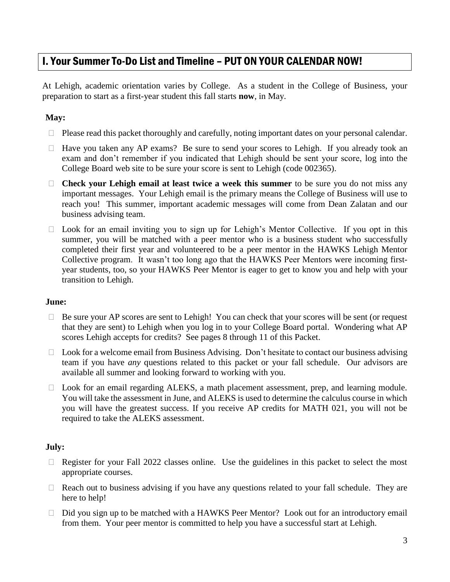### I. Your Summer To-Do List and Timeline – PUT ON YOUR CALENDAR NOW!

At Lehigh, academic orientation varies by College. As a student in the College of Business, your preparation to start as a first-year student this fall starts **now**, in May.

#### **May:**

- $\Box$  Please read this packet thoroughly and carefully, noting important dates on your personal calendar.
- $\Box$  Have you taken any AP exams? Be sure to send your scores to Lehigh. If you already took an exam and don't remember if you indicated that Lehigh should be sent your score, log into the College Board web site to be sure your score is sent to Lehigh (code 002365).
- **Check your Lehigh email at least twice a week this summer** to be sure you do not miss any important messages. Your Lehigh email is the primary means the College of Business will use to reach you! This summer, important academic messages will come from Dean Zalatan and our business advising team.
- $\Box$  Look for an email inviting you to sign up for Lehigh's Mentor Collective. If you opt in this summer, you will be matched with a peer mentor who is a business student who successfully completed their first year and volunteered to be a peer mentor in the HAWKS Lehigh Mentor Collective program. It wasn't too long ago that the HAWKS Peer Mentors were incoming firstyear students, too, so your HAWKS Peer Mentor is eager to get to know you and help with your transition to Lehigh.

#### **June:**

- $\Box$  Be sure your AP scores are sent to Lehigh! You can check that your scores will be sent (or request that they are sent) to Lehigh when you log in to your College Board portal. Wondering what AP scores Lehigh accepts for credits? See pages 8 through 11 of this Packet.
- $\Box$  Look for a welcome email from Business Advising. Don't hesitate to contact our business advising team if you have *any* questions related to this packet or your fall schedule. Our advisors are available all summer and looking forward to working with you.
- □ Look for an email regarding ALEKS, a math placement assessment, prep, and learning module. You will take the assessment in June, and ALEKS is used to determine the calculus course in which you will have the greatest success. If you receive AP credits for MATH 021, you will not be required to take the ALEKS assessment.

#### **July:**

- $\Box$  Register for your Fall 2022 classes online. Use the guidelines in this packet to select the most appropriate courses.
- $\Box$  Reach out to business advising if you have any questions related to your fall schedule. They are here to help!
- $\Box$  Did you sign up to be matched with a HAWKS Peer Mentor? Look out for an introductory email from them. Your peer mentor is committed to help you have a successful start at Lehigh.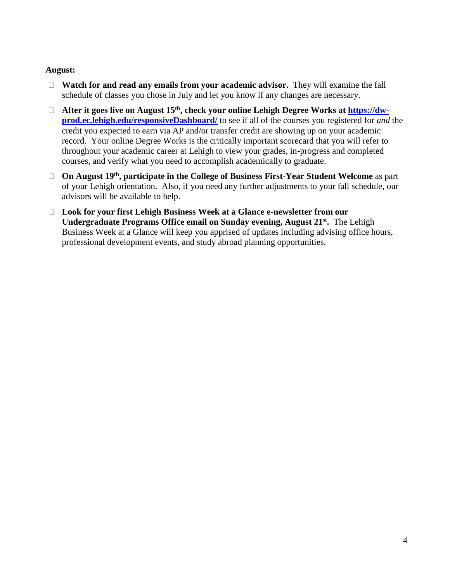#### **August:**

- **Watch for and read any emails from your academic advisor.** They will examine the fall schedule of classes you chose in July and let you know if any changes are necessary.
- **After it goes live on August 15th, check your online Lehigh Degree Works at [https://dw](https://dw-prod.ec.lehigh.edu/responsiveDashboard/)[prod.ec.lehigh.edu/responsiveDashboard/](https://dw-prod.ec.lehigh.edu/responsiveDashboard/)** to see if all of the courses you registered for *and* the credit you expected to earn via AP and/or transfer credit are showing up on your academic record. Your online Degree Works is the critically important scorecard that you will refer to throughout your academic career at Lehigh to view your grades, in-progress and completed courses, and verify what you need to accomplish academically to graduate.
- **On August 19th, participate in the College of Business First-Year Student Welcome** as part of your Lehigh orientation. Also, if you need any further adjustments to your fall schedule, our advisors will be available to help.
- **Look for your first Lehigh Business Week at a Glance e-newsletter from our**  Undergraduate Programs Office email on Sunday evening, August 21<sup>st</sup>. The Lehigh Business Week at a Glance will keep you apprised of updates including advising office hours, professional development events, and study abroad planning opportunities.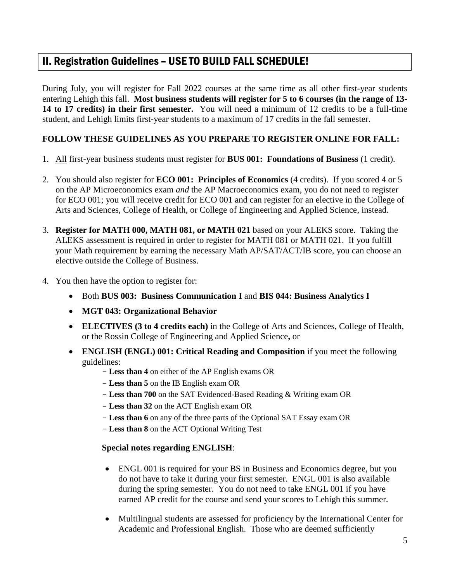### II. Registration Guidelines – USE TO BUILD FALL SCHEDULE!

During July, you will register for Fall 2022 courses at the same time as all other first-year students entering Lehigh this fall. **Most business students will register for 5 to 6 courses (in the range of 13- 14 to 17 credits) in their first semester.** You will need a minimum of 12 credits to be a full-time student, and Lehigh limits first-year students to a maximum of 17 credits in the fall semester.

#### **FOLLOW THESE GUIDELINES AS YOU PREPARE TO REGISTER ONLINE FOR FALL:**

- 1. All first-year business students must register for **BUS 001: Foundations of Business** (1 credit).
- 2. You should also register for **ECO 001: Principles of Economics** (4 credits). If you scored 4 or 5 on the AP Microeconomics exam *and* the AP Macroeconomics exam, you do not need to register for ECO 001; you will receive credit for ECO 001 and can register for an elective in the College of Arts and Sciences, College of Health, or College of Engineering and Applied Science, instead.
- 3. **Register for MATH 000, MATH 081, or MATH 021** based on your ALEKS score. Taking the ALEKS assessment is required in order to register for MATH 081 or MATH 021. If you fulfill your Math requirement by earning the necessary Math AP/SAT/ACT/IB score, you can choose an elective outside the College of Business.
- 4. You then have the option to register for:
	- Both **BUS 003: Business Communication I** and **BIS 044: Business Analytics I**
	- **MGT 043: Organizational Behavior**
	- **ELECTIVES (3 to 4 credits each)** in the College of Arts and Sciences, College of Health, or the Rossin College of Engineering and Applied Science**,** or
	- **ENGLISH (ENGL) 001: Critical Reading and Composition** if you meet the following guidelines:
		- **Less than 4** on either of the AP English exams OR
		- **Less than 5** on the IB English exam OR
		- **Less than 700** on the SAT Evidenced-Based Reading & Writing exam OR
		- **Less than 32** on the ACT English exam OR
		- **Less than 6** on any of the three parts of the Optional SAT Essay exam OR
		- **Less than 8** on the ACT Optional Writing Test

#### **Special notes regarding ENGLISH**:

- ENGL 001 is required for your BS in Business and Economics degree, but you do not have to take it during your first semester. ENGL 001 is also available during the spring semester. You do not need to take ENGL 001 if you have earned AP credit for the course and send your scores to Lehigh this summer.
- Multilingual students are assessed for proficiency by the International Center for Academic and Professional English. Those who are deemed sufficiently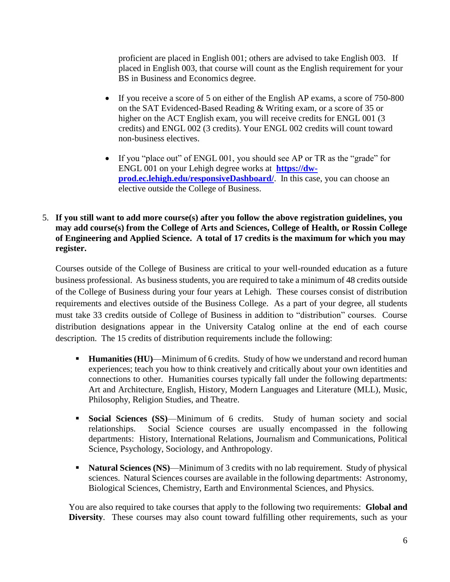proficient are placed in English 001; others are advised to take English 003. If placed in English 003, that course will count as the English requirement for your BS in Business and Economics degree.

- If you receive a score of 5 on either of the English AP exams, a score of 750-800 on the SAT Evidenced-Based Reading & Writing exam, or a score of 35 or higher on the ACT English exam, you will receive credits for ENGL 001 (3 credits) and ENGL 002 (3 credits). Your ENGL 002 credits will count toward non-business electives.
- If you "place out" of ENGL 001, you should see AP or TR as the "grade" for ENGL 001 on your Lehigh degree works at **[https://dw](https://dw-prod.ec.lehigh.edu/responsiveDashboard/)[prod.ec.lehigh.edu/responsiveDashboard/](https://dw-prod.ec.lehigh.edu/responsiveDashboard/).** In this case, you can choose an elective outside the College of Business.
- 5. **If you still want to add more course(s) after you follow the above registration guidelines, you may add course(s) from the College of Arts and Sciences, College of Health, or Rossin College of Engineering and Applied Science. A total of 17 credits is the maximum for which you may register.**

Courses outside of the College of Business are critical to your well-rounded education as a future business professional. As business students, you are required to take a minimum of 48 credits outside of the College of Business during your four years at Lehigh. These courses consist of distribution requirements and electives outside of the Business College. As a part of your degree, all students must take 33 credits outside of College of Business in addition to "distribution" courses. Course distribution designations appear in the University Catalog online at the end of each course description. The 15 credits of distribution requirements include the following:

- **Humanities (HU)—Minimum of 6 credits. Study of how we understand and record human** experiences; teach you how to think creatively and critically about your own identities and connections to other. Humanities courses typically fall under the following departments: Art and Architecture, English, History, Modern Languages and Literature (MLL), Music, Philosophy, Religion Studies, and Theatre.
- **Social Sciences (SS)**—Minimum of 6 credits. Study of human society and social relationships. Social Science courses are usually encompassed in the following departments: History, International Relations, Journalism and Communications, Political Science, Psychology, Sociology, and Anthropology.
- Natural Sciences (NS)—Minimum of 3 credits with no lab requirement. Study of physical sciences. Natural Sciences courses are available in the following departments: Astronomy, Biological Sciences, Chemistry, Earth and Environmental Sciences, and Physics.

You are also required to take courses that apply to the following two requirements: **Global and Diversity**. These courses may also count toward fulfilling other requirements, such as your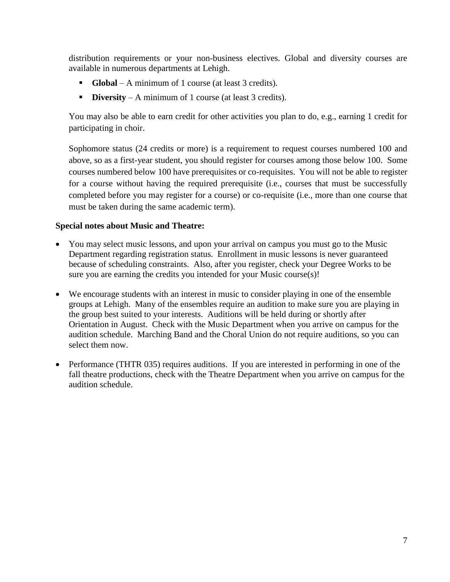distribution requirements or your non-business electives. Global and diversity courses are available in numerous departments at Lehigh.

- **Global**  A minimum of 1 course (at least 3 credits).
- **Diversity** A minimum of 1 course (at least 3 credits).

You may also be able to earn credit for other activities you plan to do, e.g., earning 1 credit for participating in choir.

Sophomore status (24 credits or more) is a requirement to request courses numbered 100 and above, so as a first-year student, you should register for courses among those below 100. Some courses numbered below 100 have prerequisites or co-requisites. You will not be able to register for a course without having the required prerequisite (i.e., courses that must be successfully completed before you may register for a course) or co-requisite (i.e., more than one course that must be taken during the same academic term).

#### **Special notes about Music and Theatre:**

- You may select music lessons, and upon your arrival on campus you must go to the Music Department regarding registration status. Enrollment in music lessons is never guaranteed because of scheduling constraints. Also, after you register, check your Degree Works to be sure you are earning the credits you intended for your Music course(s)!
- We encourage students with an interest in music to consider playing in one of the ensemble groups at Lehigh. Many of the ensembles require an audition to make sure you are playing in the group best suited to your interests. Auditions will be held during or shortly after Orientation in August. Check with the Music Department when you arrive on campus for the audition schedule. Marching Band and the Choral Union do not require auditions, so you can select them now.
- Performance (THTR 035) requires auditions. If you are interested in performing in one of the fall theatre productions, check with the Theatre Department when you arrive on campus for the audition schedule.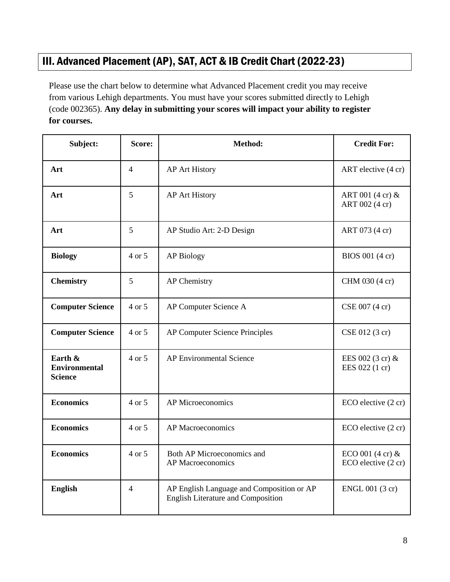### III. Advanced Placement (AP), SAT, ACT & IB Credit Chart (2022-23)

Please use the chart below to determine what Advanced Placement credit you may receive from various Lehigh departments. You must have your scores submitted directly to Lehigh (code 002365). **Any delay in submitting your scores will impact your ability to register for courses.**

| Subject:                                          | Score:         | Method:                                                                                | <b>Credit For:</b>                                |
|---------------------------------------------------|----------------|----------------------------------------------------------------------------------------|---------------------------------------------------|
| Art                                               | $\overline{4}$ | <b>AP Art History</b>                                                                  | ART elective (4 cr)                               |
| Art                                               | 5              | <b>AP Art History</b>                                                                  | ART 001 (4 cr) &<br>ART 002 (4 cr)                |
| Art                                               | 5              | AP Studio Art: 2-D Design                                                              | ART 073 (4 cr)                                    |
| <b>Biology</b>                                    | 4 or 5         | <b>AP Biology</b>                                                                      | BIOS 001 (4 cr)                                   |
| <b>Chemistry</b>                                  | 5              | <b>AP</b> Chemistry                                                                    | CHM 030 (4 cr)                                    |
| <b>Computer Science</b>                           | 4 or 5         | AP Computer Science A                                                                  | CSE 007 (4 cr)                                    |
| <b>Computer Science</b>                           | 4 or 5         | <b>AP Computer Science Principles</b>                                                  | CSE 012 (3 cr)                                    |
| Earth &<br><b>Environmental</b><br><b>Science</b> | 4 or 5         | <b>AP Environmental Science</b>                                                        | EES 002 (3 cr) &<br>EES 022 (1 cr)                |
| <b>Economics</b>                                  | 4 or 5         | <b>AP Microeconomics</b>                                                               | ECO elective (2 cr)                               |
| <b>Economics</b>                                  | 4 or 5         | <b>AP</b> Macroeconomics                                                               | ECO elective (2 cr)                               |
| <b>Economics</b>                                  | 4 or 5         | Both AP Microeconomics and<br><b>AP</b> Macroeconomics                                 | ECO 001 $(4 \text{ cr})$ &<br>ECO elective (2 cr) |
| <b>English</b>                                    | $\overline{4}$ | AP English Language and Composition or AP<br><b>English Literature and Composition</b> | ENGL 001 (3 cr)                                   |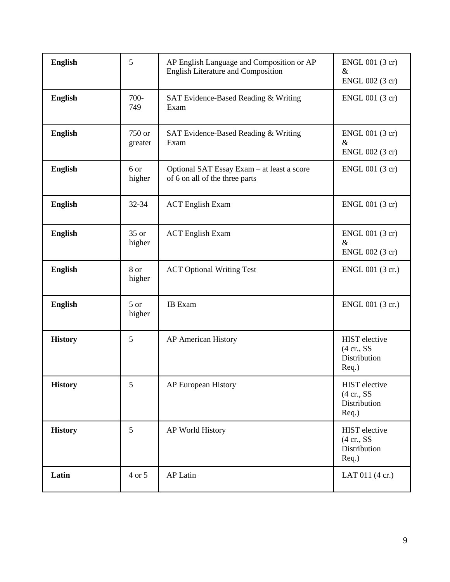| <b>English</b> | 5                 | AP English Language and Composition or AP<br>English Literature and Composition | ENGL 001 (3 cr)<br>$\&$<br>ENGL 002 (3 cr)                                    |
|----------------|-------------------|---------------------------------------------------------------------------------|-------------------------------------------------------------------------------|
| <b>English</b> | 700-<br>749       | SAT Evidence-Based Reading & Writing<br>Exam                                    | ENGL 001 (3 cr)                                                               |
| <b>English</b> | 750 or<br>greater | SAT Evidence-Based Reading & Writing<br>Exam                                    | ENGL 001 (3 cr)<br>$\&$<br>ENGL 002 (3 cr)                                    |
| <b>English</b> | 6 or<br>higher    | Optional SAT Essay Exam - at least a score<br>of 6 on all of the three parts    | ENGL 001 (3 cr)                                                               |
| English        | 32-34             | <b>ACT</b> English Exam                                                         | ENGL 001 (3 cr)                                                               |
| <b>English</b> | 35 or<br>higher   | <b>ACT</b> English Exam                                                         | $ENGL$ 001 (3 cr)<br>&<br>ENGL 002 (3 cr)                                     |
| <b>English</b> | 8 or<br>higher    | <b>ACT Optional Writing Test</b>                                                | ENGL 001 (3 cr.)                                                              |
| <b>English</b> | 5 or<br>higher    | <b>IB</b> Exam                                                                  | ENGL 001 (3 cr.)                                                              |
| <b>History</b> | 5                 | <b>AP American History</b>                                                      | <b>HIST</b> elective<br>$(4 \text{ cr.}, \text{SS})$<br>Distribution<br>Req.) |
| <b>History</b> | 5                 | AP European History                                                             | <b>HIST</b> elective<br>$(4 \text{ cr.}, \text{SS})$<br>Distribution<br>Req.) |
| <b>History</b> | 5                 | AP World History                                                                | HIST elective<br>$(4 \text{ cr.}, \text{SS})$<br>Distribution<br>$Req.$ )     |
| Latin          | 4 or 5            | <b>AP Latin</b>                                                                 | LAT 011 (4 cr.)                                                               |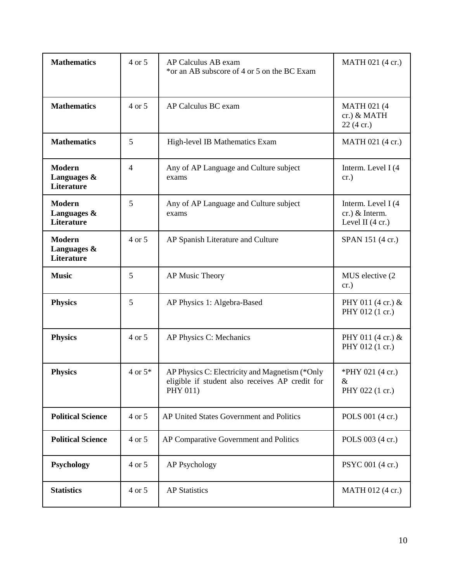| <b>Mathematics</b>                         | 4 or 5         | AP Calculus AB exam<br>*or an AB subscore of 4 or 5 on the BC Exam                                            | MATH 021 (4 cr.)                                                     |
|--------------------------------------------|----------------|---------------------------------------------------------------------------------------------------------------|----------------------------------------------------------------------|
| <b>Mathematics</b>                         | 4 or 5         | AP Calculus BC exam                                                                                           | <b>MATH 021 (4)</b><br>cr.) & MATH<br>$22(4 \text{ cr.})$            |
| <b>Mathematics</b>                         | 5              | High-level IB Mathematics Exam                                                                                | MATH 021 (4 cr.)                                                     |
| <b>Modern</b><br>Languages &<br>Literature | $\overline{4}$ | Any of AP Language and Culture subject<br>exams                                                               | Interm. Level I (4<br>cr.)                                           |
| Modern<br>Languages &<br>Literature        | 5              | Any of AP Language and Culture subject<br>exams                                                               | Interm. Level I (4<br>$cr.)$ & Interm.<br>Level II $(4 \text{ cr.})$ |
| <b>Modern</b><br>Languages &<br>Literature | 4 or 5         | AP Spanish Literature and Culture                                                                             | SPAN 151 (4 cr.)                                                     |
| <b>Music</b>                               | 5              | AP Music Theory                                                                                               | MUS elective (2)<br>cr.)                                             |
| <b>Physics</b>                             | 5              | AP Physics 1: Algebra-Based                                                                                   | PHY 011 (4 cr.) &<br>PHY 012 (1 cr.)                                 |
| <b>Physics</b>                             | 4 or 5         | AP Physics C: Mechanics                                                                                       | PHY 011 (4 cr.) &<br>PHY 012 (1 cr.)                                 |
| <b>Physics</b>                             | $4$ or $5*$    | AP Physics C: Electricity and Magnetism (*Only<br>eligible if student also receives AP credit for<br>PHY 011) | *PHY 021 (4 cr.)<br>$\&$<br>PHY 022 (1 cr.)                          |
| <b>Political Science</b>                   | 4 or 5         | AP United States Government and Politics                                                                      | POLS 001 (4 cr.)                                                     |
| <b>Political Science</b>                   | 4 or 5         | AP Comparative Government and Politics                                                                        | POLS 003 (4 cr.)                                                     |
| Psychology                                 | 4 or 5         | <b>AP Psychology</b>                                                                                          | PSYC 001 (4 cr.)                                                     |
| <b>Statistics</b>                          | 4 or 5         | <b>AP Statistics</b>                                                                                          | MATH 012 (4 cr.)                                                     |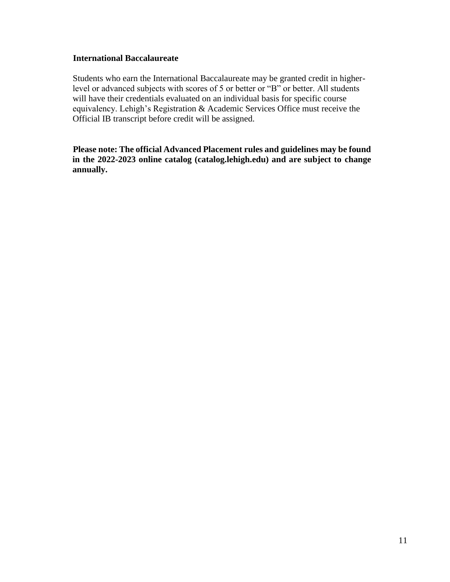#### **International Baccalaureate**

Students who earn the International Baccalaureate may be granted credit in higherlevel or advanced subjects with scores of 5 or better or "B" or better. All students will have their credentials evaluated on an individual basis for specific course equivalency. Lehigh's Registration & Academic Services Office must receive the Official IB transcript before credit will be assigned.

**Please note: The official Advanced Placement rules and guidelines may be found in the 2022-2023 online catalog (catalog.lehigh.edu) and are subject to change annually.**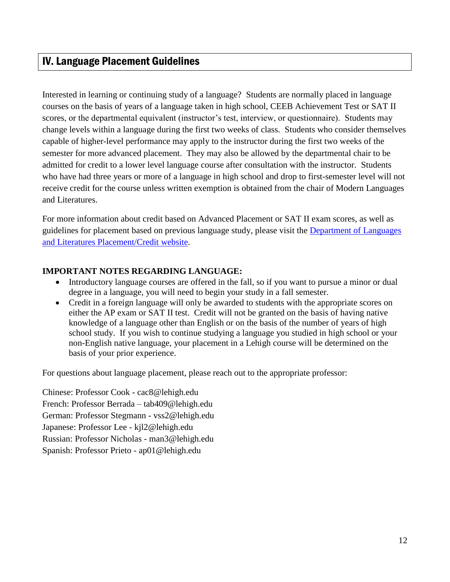### IV. Language Placement Guidelines

Interested in learning or continuing study of a language? Students are normally placed in language courses on the basis of years of a language taken in high school, CEEB Achievement Test or SAT II scores, or the departmental equivalent (instructor's test, interview, or questionnaire). Students may change levels within a language during the first two weeks of class. Students who consider themselves capable of higher-level performance may apply to the instructor during the first two weeks of the semester for more advanced placement. They may also be allowed by the departmental chair to be admitted for credit to a lower level language course after consultation with the instructor. Students who have had three years or more of a language in high school and drop to first-semester level will not receive credit for the course unless written exemption is obtained from the chair of Modern Languages and Literatures.

For more information about credit based on Advanced Placement or SAT II exam scores, as well as guidelines for placement based on previous language study, please visit the [Department of Languages](https://mll.cas.lehigh.edu/placementcredit)  [and Literatures Placement/Credit website.](https://mll.cas.lehigh.edu/placementcredit)

#### **IMPORTANT NOTES REGARDING LANGUAGE:**

- Introductory language courses are offered in the fall, so if you want to pursue a minor or dual degree in a language, you will need to begin your study in a fall semester.
- Credit in a foreign language will only be awarded to students with the appropriate scores on either the AP exam or SAT II test. Credit will not be granted on the basis of having native knowledge of a language other than English or on the basis of the number of years of high school study. If you wish to continue studying a language you studied in high school or your non-English native language, your placement in a Lehigh course will be determined on the basis of your prior experience.

For questions about language placement, please reach out to the appropriate professor:

Chinese: Professor Cook - [cac8@lehigh.edu](file://///common/common/BUS/CBEUNDERGRAD/First-Year%20Students/FY%20Mailing/2022%20FYS%20Mailing%20and%20Portal/cac8@lehigh.edu) French: Professor Berrada – [tab409@lehigh.edu](mailto:tab409@lehigh.edu) German: Professor Stegmann - [vss2@lehigh.edu](file://///common/common/BUS/CBEUNDERGRAD/First-Year%20Students/FY%20Mailing/2022%20FYS%20Mailing%20and%20Portal/vss2@lehigh.edu) Japanese: Professor Lee - [kjl2@lehigh.edu](file://///common/common/BUS/CBEUNDERGRAD/First-Year%20Students/FY%20Mailing/2022%20FYS%20Mailing%20and%20Portal/kjl2@lehigh.edu) Russian: Professor Nicholas - [man3@lehigh.edu](file://///common/common/BUS/CBEUNDERGRAD/First-Year%20Students/FY%20Mailing/2022%20FYS%20Mailing%20and%20Portal/man3@lehigh.edu) Spanish: Professor Prieto - [ap01@lehigh.edu](file://///common/common/BUS/CBEUNDERGRAD/First-Year%20Students/FY%20Mailing/2022%20FYS%20Mailing%20and%20Portal/ap01@lehigh.edu)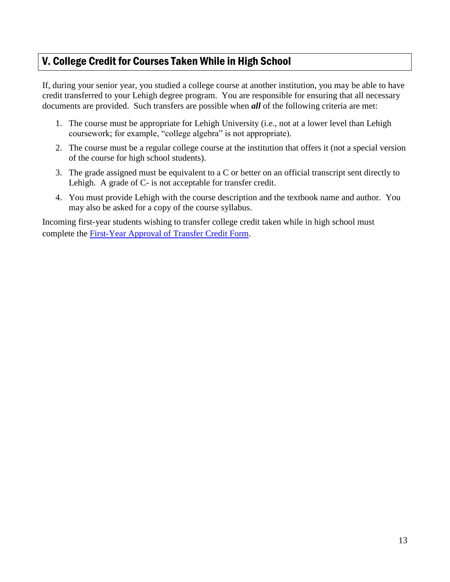### V. College Credit for Courses Taken While in High School

If, during your senior year, you studied a college course at another institution, you may be able to have credit transferred to your Lehigh degree program. You are responsible for ensuring that all necessary documents are provided. Such transfers are possible when *all* of the following criteria are met:

- 1. The course must be appropriate for Lehigh University (i.e., not at a lower level than Lehigh coursework; for example, "college algebra" is not appropriate).
- 2. The course must be a regular college course at the institution that offers it (not a special version of the course for high school students).
- 3. The grade assigned must be equivalent to a C or better on an official transcript sent directly to Lehigh. A grade of C- is not acceptable for transfer credit.
- 4. You must provide Lehigh with the course description and the textbook name and author. You may also be asked for a copy of the course syllabus.

Incoming first-year students wishing to transfer college credit taken while in high school must complete the **First-Year Approval of Transfer Credit Form.**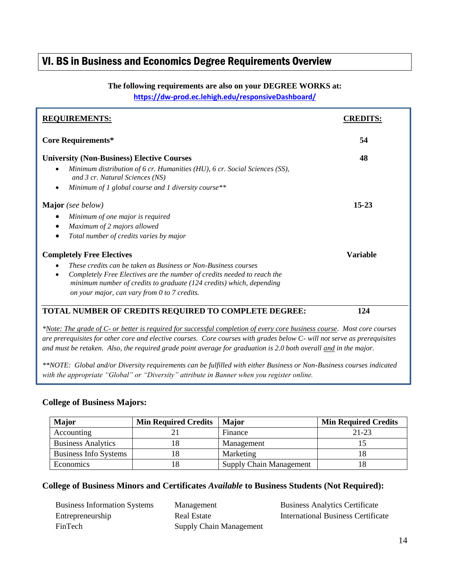### VI. BS in Business and Economics Degree Requirements Overview

#### **The following requirements are also on your DEGREE WORKS at:**

**<https://dw-prod.ec.lehigh.edu/responsiveDashboard/>**

| <b>REQUIREMENTS:</b>                                                                                                                                         |                 |
|--------------------------------------------------------------------------------------------------------------------------------------------------------------|-----------------|
| <b>Core Requirements*</b>                                                                                                                                    | 54              |
| <b>University (Non-Business) Elective Courses</b><br>Minimum distribution of 6 cr. Humanities (HU), 6 cr. Social Sciences (SS),<br>$\bullet$                 | 48              |
| and 3 cr. Natural Sciences (NS)<br>Minimum of 1 global course and 1 diversity course**<br>$\bullet$                                                          |                 |
| <b>Major</b> (see below)                                                                                                                                     | $15 - 23$       |
| Minimum of one major is required<br>$\bullet$                                                                                                                |                 |
| Maximum of 2 majors allowed<br>٠                                                                                                                             |                 |
| Total number of credits varies by major<br>٠                                                                                                                 |                 |
| <b>Completely Free Electives</b>                                                                                                                             | <b>Variable</b> |
| These credits can be taken as Business or Non-Business courses                                                                                               |                 |
| Completely Free Electives are the number of credits needed to reach the<br>$\bullet$<br>minimum number of credits to graduate (124 credits) which, depending |                 |
| on your major, can vary from 0 to 7 credits.                                                                                                                 |                 |
| <b>TOTAL NUMBER OF CREDITS REQUIRED TO COMPLETE DEGREE:</b>                                                                                                  | 124             |

*\*Note: The grade of C- or better is required for successful completion of every core business course*. *Most core courses are prerequisites for other core and elective courses. Core courses with grades below C- will not serve as prerequisites and must be retaken. Also, the required grade point average for graduation is 2.0 both overall and in the major.*

*\*\*NOTE: Global and/or Diversity requirements can be fulfilled with either Business or Non-Business courses indicated with the appropriate "Global" or "Diversity" attribute in Banner when you register online.*

#### **College of Business Majors:**

| <b>Major</b>              | <b>Min Required Credits</b> | <b>Major</b>                   | <b>Min Required Credits</b> |
|---------------------------|-----------------------------|--------------------------------|-----------------------------|
| Accounting                |                             | Finance                        | 21-23                       |
| <b>Business Analytics</b> |                             | Management                     |                             |
| Business Info Systems     |                             | Marketing                      |                             |
| Economics                 |                             | <b>Supply Chain Management</b> |                             |

#### **College of Business Minors and Certificates** *Available* **to Business Students (Not Required):**

Business Information Systems Management Business Analytics Certificate Entrepreneurship Real Estate International Business Certificate FinTech Supply Chain Management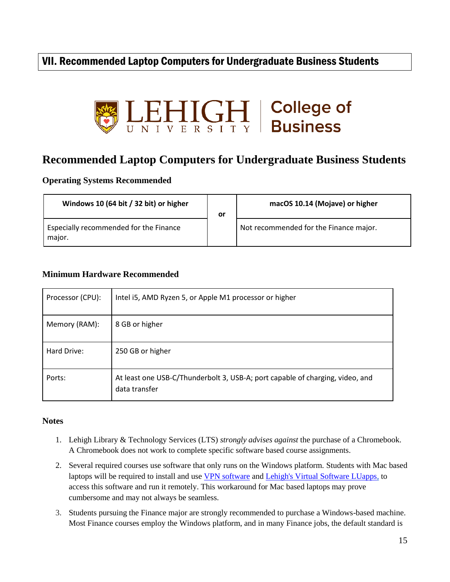### VII. Recommended Laptop Computers for Undergraduate Business Students



### **Recommended Laptop Computers for Undergraduate Business Students**

**Operating Systems Recommended**

| Windows 10 (64 bit / 32 bit) or higher           | or | macOS 10.14 (Mojave) or higher         |
|--------------------------------------------------|----|----------------------------------------|
| Especially recommended for the Finance<br>major. |    | Not recommended for the Finance major. |

#### **Minimum Hardware Recommended**

| Processor (CPU): | Intel i5, AMD Ryzen 5, or Apple M1 processor or higher                                         |
|------------------|------------------------------------------------------------------------------------------------|
| Memory (RAM):    | 8 GB or higher                                                                                 |
| Hard Drive:      | 250 GB or higher                                                                               |
| Ports:           | At least one USB-C/Thunderbolt 3, USB-A; port capable of charging, video, and<br>data transfer |

#### **Notes**

- 1. Lehigh Library & Technology Services (LTS) *strongly advises against* the purchase of a Chromebook. A Chromebook does not work to complete specific software based course assignments.
- 2. Several required courses use software that only runs on the Windows platform. Students with Mac based laptops will be required to install and use [VPN software](https://lts.lehigh.edu/services/vpn) and [Lehigh's Virtual Software LUapps,](https://lts.lehigh.edu/services/virtual-software-luapps) to access this software and run it remotely. This workaround for Mac based laptops may prove cumbersome and may not always be seamless.
- 3. Students pursuing the Finance major are strongly recommended to purchase a Windows-based machine. Most Finance courses employ the Windows platform, and in many Finance jobs, the default standard is